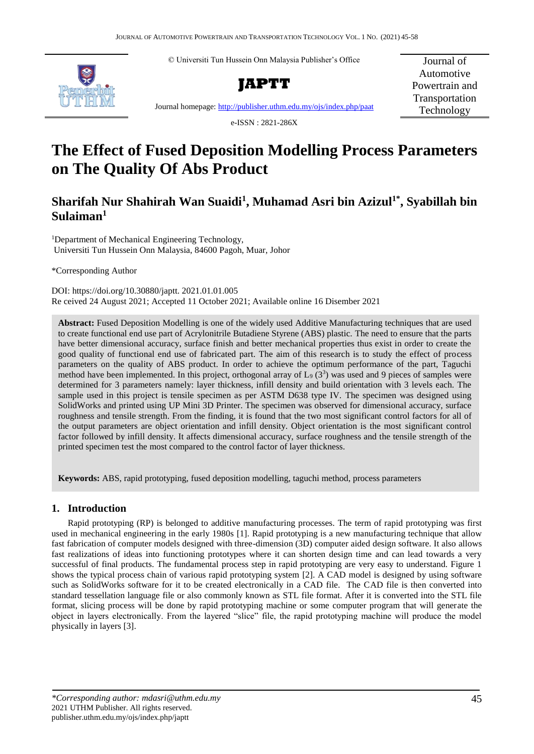© Universiti Tun Hussein Onn Malaysia Publisher's Office





Journal of Automotive Powertrain and Transportation Technology

Journal homepage[: http://publisher.uthm.edu.my/ojs/index.php/paat](http://publisher.uthm.edu.my/ojs/index.php/paat)

e-ISSN : 2821-286X

# **The Effect of Fused Deposition Modelling Process Parameters on The Quality Of Abs Product**

# **Sharifah Nur Shahirah Wan Suaidi<sup>1</sup> , Muhamad Asri bin Azizul1\* , Syabillah bin Sulaiman<sup>1</sup>**

<sup>1</sup>Department of Mechanical Engineering Technology, Universiti Tun Hussein Onn Malaysia, 84600 Pagoh, Muar, Johor

\*Corresponding Author

DOI: https://doi.org/10.30880/japtt. 2021.01.01.005 Re ceived 24 August 2021; Accepted 11 October 2021; Available online 16 Disember 2021

**Abstract:** Fused Deposition Modelling is one of the widely used Additive Manufacturing techniques that are used to create functional end use part of Acrylonitrile Butadiene Styrene (ABS) plastic. The need to ensure that the parts have better dimensional accuracy, surface finish and better mechanical properties thus exist in order to create the good quality of functional end use of fabricated part. The aim of this research is to study the effect of process parameters on the quality of ABS product. In order to achieve the optimum performance of the part, Taguchi method have been implemented. In this project, orthogonal array of  $L_9$  (3<sup>3</sup>) was used and 9 pieces of samples were determined for 3 parameters namely: layer thickness, infill density and build orientation with 3 levels each. The sample used in this project is tensile specimen as per ASTM D638 type IV. The specimen was designed using SolidWorks and printed using UP Mini 3D Printer. The specimen was observed for dimensional accuracy, surface roughness and tensile strength. From the finding, it is found that the two most significant control factors for all of the output parameters are object orientation and infill density. Object orientation is the most significant control factor followed by infill density. It affects dimensional accuracy, surface roughness and the tensile strength of the printed specimen test the most compared to the control factor of layer thickness.

**Keywords:** ABS, rapid prototyping, fused deposition modelling, taguchi method, process parameters

# **1. Introduction**

Rapid prototyping (RP) is belonged to additive manufacturing processes. The term of rapid prototyping was first used in mechanical engineering in the early 1980s [1]. Rapid prototyping is a new manufacturing technique that allow fast fabrication of computer models designed with three-dimension (3D) computer aided design software. It also allows fast realizations of ideas into functioning prototypes where it can shorten design time and can lead towards a very successful of final products. The fundamental process step in rapid prototyping are very easy to understand. Figure 1 shows the typical process chain of various rapid prototyping system [2]. A CAD model is designed by using software such as SolidWorks software for it to be created electronically in a CAD file. The CAD file is then converted into standard tessellation language file or also commonly known as STL file format. After it is converted into the STL file format, slicing process will be done by rapid prototyping machine or some computer program that will generate the object in layers electronically. From the layered "slice" file, the rapid prototyping machine will produce the model physically in layers [3].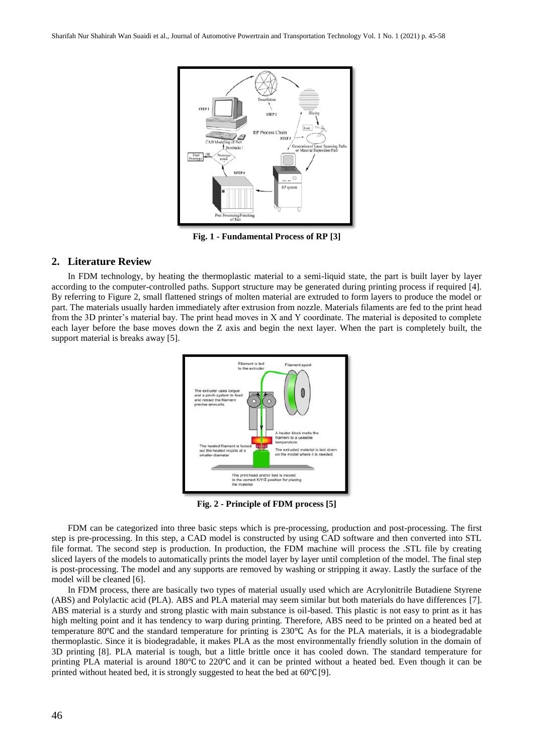

**Fig. 1 - Fundamental Process of RP [3]**

# **2. Literature Review**

In FDM technology, by heating the thermoplastic material to a semi-liquid state, the part is built layer by layer according to the computer-controlled paths. Support structure may be generated during printing process if required [4]. By referring to Figure 2, small flattened strings of molten material are extruded to form layers to produce the model or part. The materials usually harden immediately after extrusion from nozzle. Materials filaments are fed to the print head from the 3D printer's material bay. The print head moves in X and Y coordinate. The material is deposited to complete each layer before the base moves down the Z axis and begin the next layer. When the part is completely built, the support material is breaks away [5].



**Fig. 2 - Principle of FDM process [5]**

FDM can be categorized into three basic steps which is pre-processing, production and post-processing. The first step is pre-processing. In this step, a CAD model is constructed by using CAD software and then converted into STL file format. The second step is production. In production, the FDM machine will process the .STL file by creating sliced layers of the models to automatically prints the model layer by layer until completion of the model. The final step is post-processing. The model and any supports are removed by washing or stripping it away. Lastly the surface of the model will be cleaned [6].

In FDM process, there are basically two types of material usually used which are Acrylonitrile Butadiene Styrene (ABS) and Polylactic acid (PLA). ABS and PLA material may seem similar but both materials do have differences [7]. ABS material is a sturdy and strong plastic with main substance is oil-based. This plastic is not easy to print as it has high melting point and it has tendency to warp during printing. Therefore, ABS need to be printed on a heated bed at temperature 80℃ and the standard temperature for printing is 230℃. As for the PLA materials, it is a biodegradable thermoplastic. Since it is biodegradable, it makes PLA as the most environmentally friendly solution in the domain of 3D printing [8]. PLA material is tough, but a little brittle once it has cooled down. The standard temperature for printing PLA material is around 180℃ to 220℃ and it can be printed without a heated bed. Even though it can be printed without heated bed, it is strongly suggested to heat the bed at 60 °C [9].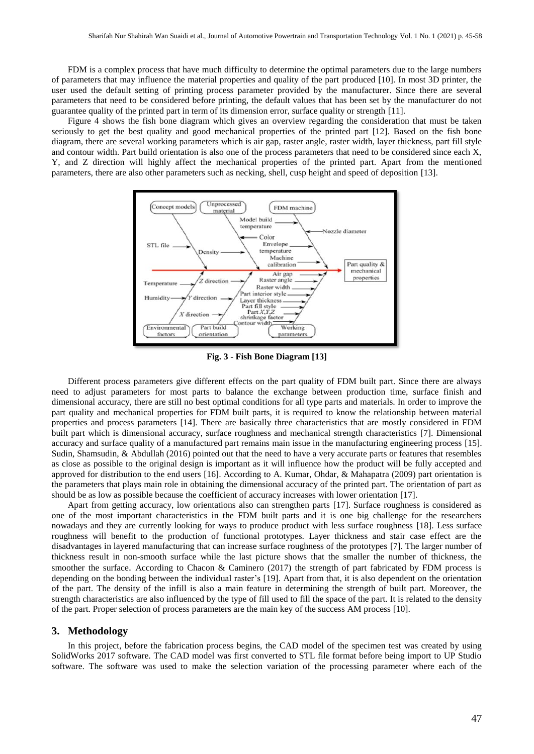FDM is a complex process that have much difficulty to determine the optimal parameters due to the large numbers of parameters that may influence the material properties and quality of the part produced [10]. In most 3D printer, the user used the default setting of printing process parameter provided by the manufacturer. Since there are several parameters that need to be considered before printing, the default values that has been set by the manufacturer do not guarantee quality of the printed part in term of its dimension error, surface quality or strength [11].

Figure 4 shows the fish bone diagram which gives an overview regarding the consideration that must be taken seriously to get the best quality and good mechanical properties of the printed part [12]. Based on the fish bone diagram, there are several working parameters which is air gap, raster angle, raster width, layer thickness, part fill style and contour width. Part build orientation is also one of the process parameters that need to be considered since each X, Y, and Z direction will highly affect the mechanical properties of the printed part. Apart from the mentioned parameters, there are also other parameters such as necking, shell, cusp height and speed of deposition [13].



**Fig. 3 - Fish Bone Diagram [13]**

Different process parameters give different effects on the part quality of FDM built part. Since there are always need to adjust parameters for most parts to balance the exchange between production time, surface finish and dimensional accuracy, there are still no best optimal conditions for all type parts and materials. In order to improve the part quality and mechanical properties for FDM built parts, it is required to know the relationship between material properties and process parameters [14]. There are basically three characteristics that are mostly considered in FDM built part which is dimensional accuracy, surface roughness and mechanical strength characteristics [7]. Dimensional accuracy and surface quality of a manufactured part remains main issue in the manufacturing engineering process [15]. Sudin, Shamsudin, & Abdullah (2016) pointed out that the need to have a very accurate parts or features that resembles as close as possible to the original design is important as it will influence how the product will be fully accepted and approved for distribution to the end users [16]. According to A. Kumar, Ohdar, & Mahapatra (2009) part orientation is the parameters that plays main role in obtaining the dimensional accuracy of the printed part. The orientation of part as should be as low as possible because the coefficient of accuracy increases with lower orientation [17].

Apart from getting accuracy, low orientations also can strengthen parts [17]. Surface roughness is considered as one of the most important characteristics in the FDM built parts and it is one big challenge for the researchers nowadays and they are currently looking for ways to produce product with less surface roughness [18]. Less surface roughness will benefit to the production of functional prototypes. Layer thickness and stair case effect are the disadvantages in layered manufacturing that can increase surface roughness of the prototypes [7]. The larger number of thickness result in non-smooth surface while the last picture shows that the smaller the number of thickness, the smoother the surface. According to Chacon & Caminero (2017) the strength of part fabricated by FDM process is depending on the bonding between the individual raster's [19]. Apart from that, it is also dependent on the orientation of the part. The density of the infill is also a main feature in determining the strength of built part. Moreover, the strength characteristics are also influenced by the type of fill used to fill the space of the part. It is related to the density of the part. Proper selection of process parameters are the main key of the success AM process [10].

#### **3. Methodology**

In this project, before the fabrication process begins, the CAD model of the specimen test was created by using SolidWorks 2017 software. The CAD model was first converted to STL file format before being import to UP Studio software. The software was used to make the selection variation of the processing parameter where each of the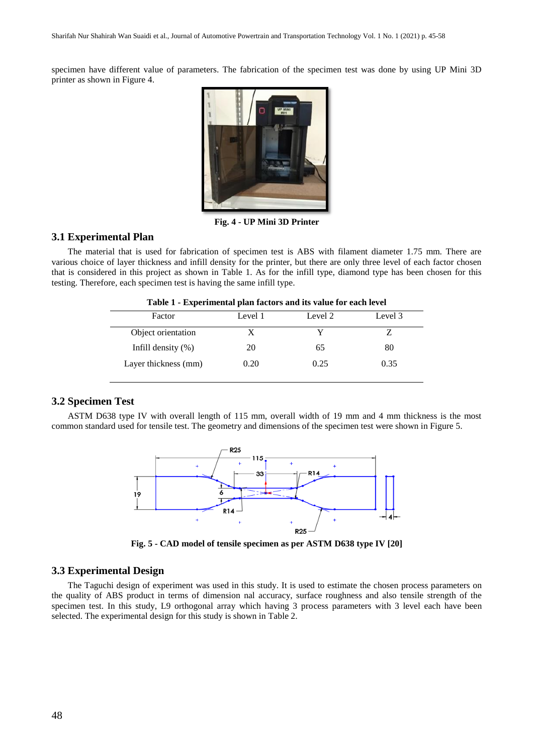specimen have different value of parameters. The fabrication of the specimen test was done by using UP Mini 3D printer as shown in Figure 4.



**Fig. 4 - UP Mini 3D Printer**

# **3.1 Experimental Plan**

The material that is used for fabrication of specimen test is ABS with filament diameter 1.75 mm. There are various choice of layer thickness and infill density for the printer, but there are only three level of each factor chosen that is considered in this project as shown in Table 1. As for the infill type, diamond type has been chosen for this testing. Therefore, each specimen test is having the same infill type.

| Factor                 | Level 1 | Level 2 | Level 3 |
|------------------------|---------|---------|---------|
| Object orientation     |         |         |         |
| Infill density $(\% )$ | 20      | 65      | 80      |
| Layer thickness (mm)   | 0.20    | 0.25    | 0.35    |

# **3.2 Specimen Test**

ASTM D638 type IV with overall length of 115 mm, overall width of 19 mm and 4 mm thickness is the most common standard used for tensile test. The geometry and dimensions of the specimen test were shown in Figure 5.



**Fig. 5 - CAD model of tensile specimen as per ASTM D638 type IV [20]**

#### **3.3 Experimental Design**

The Taguchi design of experiment was used in this study. It is used to estimate the chosen process parameters on the quality of ABS product in terms of dimension nal accuracy, surface roughness and also tensile strength of the specimen test. In this study, L9 orthogonal array which having 3 process parameters with 3 level each have been selected. The experimental design for this study is shown in Table 2.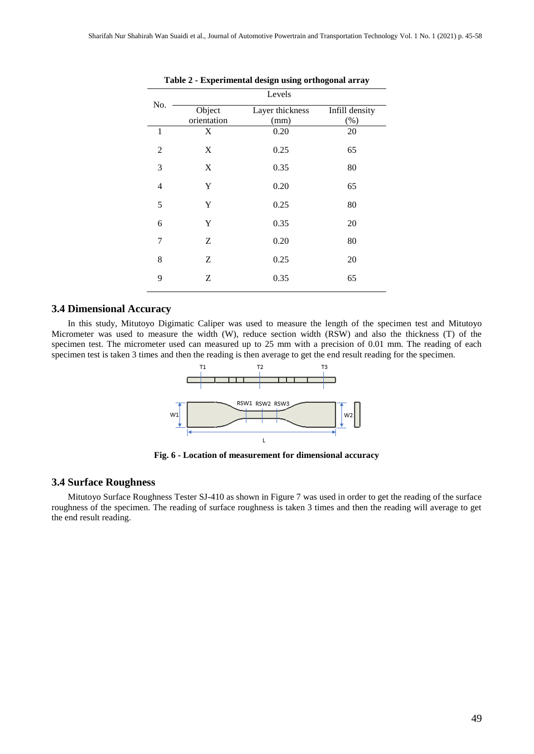|                | Levels      |                 |                |  |  |
|----------------|-------------|-----------------|----------------|--|--|
| No.            | Object      | Layer thickness | Infill density |  |  |
|                | orientation | (mm)            | (%)            |  |  |
| $\mathbf{1}$   | X           | 0.20            | 20             |  |  |
| $\overline{c}$ | X           | 0.25            | 65             |  |  |
| 3              | X           | 0.35            | 80             |  |  |
| $\overline{4}$ | Y           | 0.20            | 65             |  |  |
| 5              | Y           | 0.25            | 80             |  |  |
| 6              | Y           | 0.35            | 20             |  |  |
| 7              | Ζ           | 0.20            | 80             |  |  |
| 8              | Ζ           | 0.25            | 20             |  |  |
| 9              | Ζ           | 0.35            | 65             |  |  |

| Table 2 - Experimental design using orthogonal array |  |  |
|------------------------------------------------------|--|--|
|                                                      |  |  |

# **3.4 Dimensional Accuracy**

In this study, Mitutoyo Digimatic Caliper was used to measure the length of the specimen test and Mitutoyo Micrometer was used to measure the width (W), reduce section width (RSW) and also the thickness (T) of the specimen test. The micrometer used can measured up to 25 mm with a precision of 0.01 mm. The reading of each specimen test is taken 3 times and then the reading is then average to get the end result reading for the specimen.



**Fig. 6 - Location of measurement for dimensional accuracy**

#### **3.4 Surface Roughness**

Mitutoyo Surface Roughness Tester SJ-410 as shown in Figure 7 was used in order to get the reading of the surface roughness of the specimen. The reading of surface roughness is taken 3 times and then the reading will average to get the end result reading.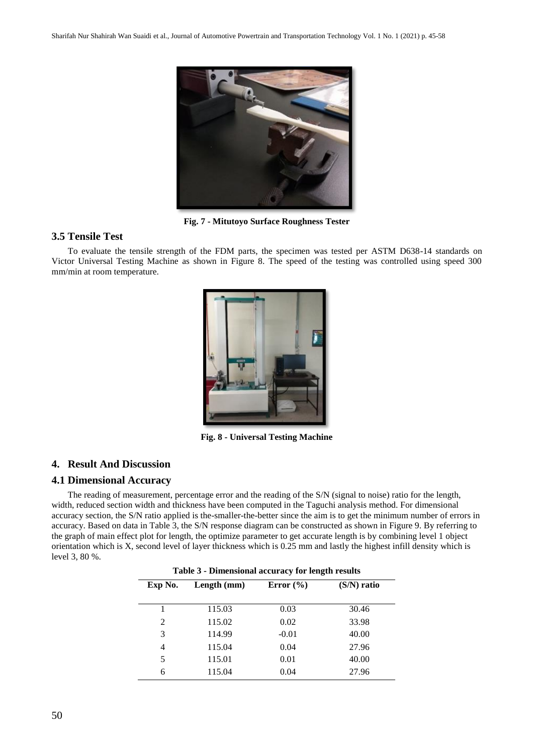

**Fig. 7 - Mitutoyo Surface Roughness Tester**

# **3.5 Tensile Test**

To evaluate the tensile strength of the FDM parts, the specimen was tested per ASTM D638-14 standards on Victor Universal Testing Machine as shown in Figure 8. The speed of the testing was controlled using speed 300 mm/min at room temperature.



**Fig. 8 - Universal Testing Machine**

# **4. Result And Discussion**

# **4.1 Dimensional Accuracy**

The reading of measurement, percentage error and the reading of the S/N (signal to noise) ratio for the length, width, reduced section width and thickness have been computed in the Taguchi analysis method. For dimensional accuracy section, the S/N ratio applied is the-smaller-the-better since the aim is to get the minimum number of errors in accuracy. Based on data in Table 3, the S/N response diagram can be constructed as shown in Figure 9. By referring to the graph of main effect plot for length, the optimize parameter to get accurate length is by combining level 1 object orientation which is X, second level of layer thickness which is 0.25 mm and lastly the highest infill density which is level 3, 80 %.

| Table 3 - Dimensional accuracy for length results |               |               |  |  |  |  |
|---------------------------------------------------|---------------|---------------|--|--|--|--|
| Length (mm)                                       | Error $(\% )$ | $(S/N)$ ratio |  |  |  |  |
|                                                   |               |               |  |  |  |  |
| 115.03                                            | 0.03          | 30.46         |  |  |  |  |
| 115.02                                            | 0.02          | 33.98         |  |  |  |  |
| 114.99                                            | $-0.01$       | 40.00         |  |  |  |  |
| 115.04                                            | 0.04          | 27.96         |  |  |  |  |
| 115.01                                            | 0.01          | 40.00         |  |  |  |  |
| 115.04                                            | 0.04          | 27.96         |  |  |  |  |
|                                                   |               |               |  |  |  |  |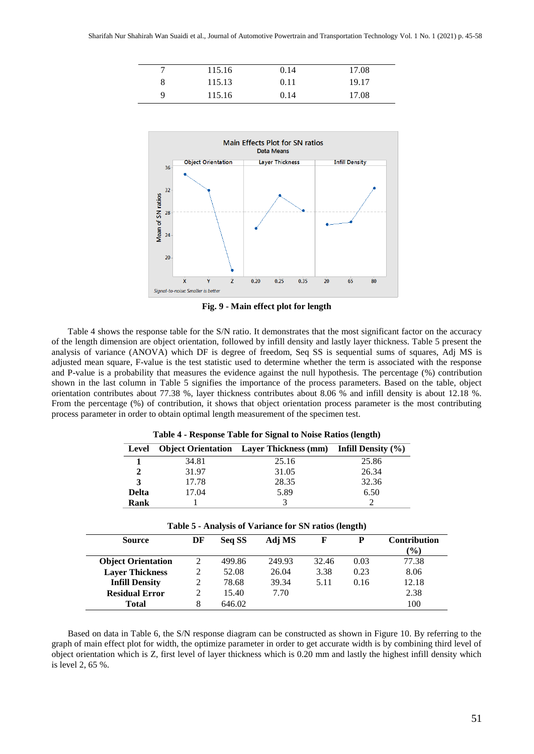|   | 115.16 | 0.14 | 17.08 |
|---|--------|------|-------|
| 8 | 115.13 | 0.11 | 19.17 |
| Q | 115.16 | 0.14 | 17.08 |



**Fig. 9 - Main effect plot for length**

Table 4 shows the response table for the S/N ratio. It demonstrates that the most significant factor on the accuracy of the length dimension are object orientation, followed by infill density and lastly layer thickness. Table 5 present the analysis of variance (ANOVA) which DF is degree of freedom, Seq SS is sequential sums of squares, Adj MS is adjusted mean square, F-value is the test statistic used to determine whether the term is associated with the response and P-value is a probability that measures the evidence against the null hypothesis. The percentage (%) contribution shown in the last column in Table 5 signifies the importance of the process parameters. Based on the table, object orientation contributes about 77.38 %, layer thickness contributes about 8.06 % and infill density is about 12.18 %. From the percentage (%) of contribution, it shows that object orientation process parameter is the most contributing process parameter in order to obtain optimal length measurement of the specimen test.

| Table + - Response Table for Bignar to Poise Ratios (fength) |       |                                                                   |       |  |  |  |
|--------------------------------------------------------------|-------|-------------------------------------------------------------------|-------|--|--|--|
| Level                                                        |       | <b>Object Orientation</b> Layer Thickness (mm) Infill Density (%) |       |  |  |  |
|                                                              | 34.81 | 25.16                                                             | 25.86 |  |  |  |
| 2                                                            | 31.97 | 31.05                                                             | 26.34 |  |  |  |
| 3                                                            | 17.78 | 28.35                                                             | 32.36 |  |  |  |
| <b>Delta</b>                                                 | 17.04 | 5.89                                                              | 6.50  |  |  |  |
| Rank                                                         |       |                                                                   |       |  |  |  |

**Table 4 - Response Table for Signal to Noise Ratios (length)**

| Table 5 - Analysis of Variance for SN ratios (length) |  |
|-------------------------------------------------------|--|
|-------------------------------------------------------|--|

| <b>Source</b>             | DF | Seq SS | Adj MS | F     | D    | <b>Contribution</b><br>$\frac{1}{2}$ |
|---------------------------|----|--------|--------|-------|------|--------------------------------------|
| <b>Object Orientation</b> | 2  | 499.86 | 249.93 | 32.46 | 0.03 | 77.38                                |
| <b>Layer Thickness</b>    |    | 52.08  | 26.04  | 3.38  | 0.23 | 8.06                                 |
| <b>Infill Density</b>     |    | 78.68  | 39.34  | 5.11  | 0.16 | 12.18                                |
| <b>Residual Error</b>     |    | 15.40  | 7.70   |       |      | 2.38                                 |
| <b>Total</b>              |    | 646.02 |        |       |      | 100                                  |

Based on data in Table 6, the S/N response diagram can be constructed as shown in Figure 10. By referring to the graph of main effect plot for width, the optimize parameter in order to get accurate width is by combining third level of object orientation which is Z, first level of layer thickness which is 0.20 mm and lastly the highest infill density which is level 2, 65 %.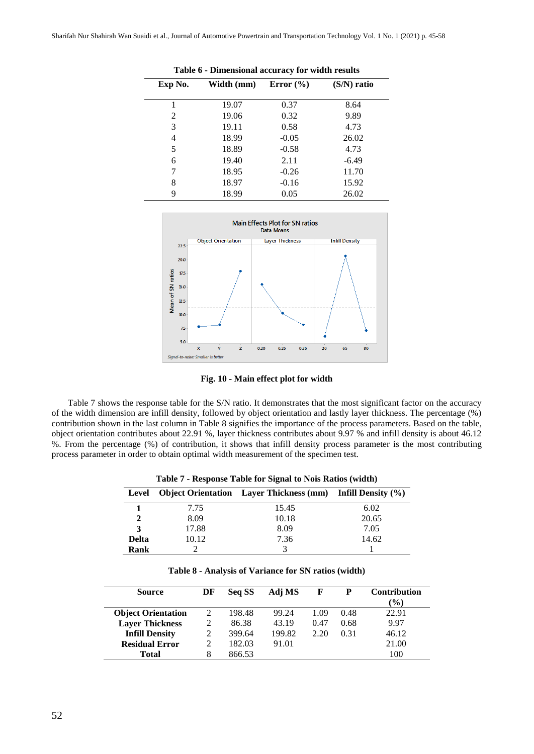| Exp No. | Width (mm) | Error $(\% )$ | (S/N) ratio |
|---------|------------|---------------|-------------|
|         | 19.07      | 0.37          | 8.64        |
| 2       | 19.06      | 0.32          | 9.89        |
| 3       | 19.11      | 0.58          | 4.73        |
| 4       | 18.99      | $-0.05$       | 26.02       |
| 5       | 18.89      | $-0.58$       | 4.73        |
| 6       | 19.40      | 2.11          | $-6.49$     |
| 7       | 18.95      | $-0.26$       | 11.70       |
| 8       | 18.97      | $-0.16$       | 15.92       |
| 9       | 18.99      | 0.05          | 26.02       |

**Table 6 - Dimensional accuracy for width results**



**Fig. 10 - Main effect plot for width**

Table 7 shows the response table for the S/N ratio. It demonstrates that the most significant factor on the accuracy of the width dimension are infill density, followed by object orientation and lastly layer thickness. The percentage (%) contribution shown in the last column in Table 8 signifies the importance of the process parameters. Based on the table, object orientation contributes about 22.91 %, layer thickness contributes about 9.97 % and infill density is about 46.12 %. From the percentage (%) of contribution, it shows that infill density process parameter is the most contributing process parameter in order to obtain optimal width measurement of the specimen test.

| Level        |       | <b>Object Orientation</b> Layer Thickness (mm) Infill Density (%) |       |
|--------------|-------|-------------------------------------------------------------------|-------|
|              | 7.75  | 15.45                                                             | 6.02  |
|              | 8.09  | 10.18                                                             | 20.65 |
| 3            | 17.88 | 8.09                                                              | 7.05  |
| <b>Delta</b> | 10.12 | 7.36                                                              | 14.62 |
| Rank         |       |                                                                   |       |

| Table 7 - Response Table for Signal to Nois Ratios (width) |  |  |  |
|------------------------------------------------------------|--|--|--|
|                                                            |  |  |  |

| Table 8 - Analysis of Variance for SN ratios (width) |  |  |  |
|------------------------------------------------------|--|--|--|
|------------------------------------------------------|--|--|--|

| Source                    | DF | Seq SS | Adj MS | F    | P    | <b>Contribution</b><br>$(\%)$ |
|---------------------------|----|--------|--------|------|------|-------------------------------|
| <b>Object Orientation</b> | 2  | 198.48 | 99.24  | 1.09 | 0.48 | 22.91                         |
| <b>Layer Thickness</b>    | 2  | 86.38  | 43.19  | 0.47 | 0.68 | 9.97                          |
| <b>Infill Density</b>     |    | 399.64 | 199.82 | 2.20 | 0.31 | 46.12                         |
| <b>Residual Error</b>     |    | 182.03 | 91.01  |      |      | 21.00                         |
| Total                     | 8  | 866.53 |        |      |      | 100                           |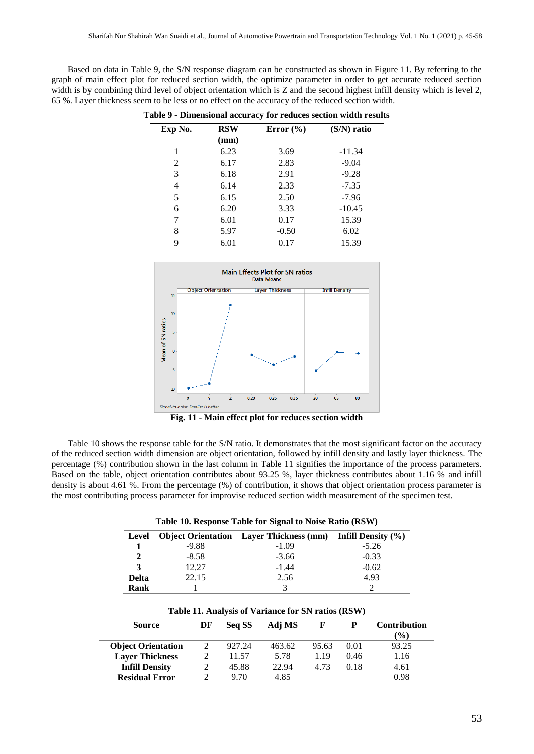Based on data in Table 9, the S/N response diagram can be constructed as shown in Figure 11. By referring to the graph of main effect plot for reduced section width, the optimize parameter in order to get accurate reduced section width is by combining third level of object orientation which is Z and the second highest infill density which is level 2, 65 %. Layer thickness seem to be less or no effect on the accuracy of the reduced section width.

| Exp No. | <b>RSW</b> | Error $(\% )$ | $(S/N)$ ratio |
|---------|------------|---------------|---------------|
|         | (mm)       |               |               |
| 1       | 6.23       | 3.69          | $-11.34$      |
| 2       | 6.17       | 2.83          | $-9.04$       |
| 3       | 6.18       | 2.91          | $-9.28$       |
| 4       | 6.14       | 2.33          | $-7.35$       |
| 5       | 6.15       | 2.50          | $-7.96$       |
| 6       | 6.20       | 3.33          | $-10.45$      |
| 7       | 6.01       | 0.17          | 15.39         |
| 8       | 5.97       | $-0.50$       | 6.02          |
| 9       | 6.01       | 0.17          | 15.39         |

|  |  |  |  | Table 9 - Dimensional accuracy for reduces section width results |  |  |  |  |  |  |
|--|--|--|--|------------------------------------------------------------------|--|--|--|--|--|--|
|--|--|--|--|------------------------------------------------------------------|--|--|--|--|--|--|



**Fig. 11 - Main effect plot for reduces section width**

Table 10 shows the response table for the S/N ratio. It demonstrates that the most significant factor on the accuracy of the reduced section width dimension are object orientation, followed by infill density and lastly layer thickness. The percentage (%) contribution shown in the last column in Table 11 signifies the importance of the process parameters. Based on the table, object orientation contributes about 93.25 %, layer thickness contributes about 1.16 % and infill density is about 4.61 %. From the percentage (%) of contribution, it shows that object orientation process parameter is the most contributing process parameter for improvise reduced section width measurement of the specimen test.

| Tubic To: Response Tubic for Signar to Flolid Rutio (RS ++ ) |         |                                                                 |         |  |  |  |
|--------------------------------------------------------------|---------|-----------------------------------------------------------------|---------|--|--|--|
| Level                                                        |         | Object Orientation Layer Thickness $(nm)$ Infill Density $(\%)$ |         |  |  |  |
|                                                              | -9.88   | $-1.09$                                                         | $-5.26$ |  |  |  |
|                                                              | $-8.58$ | $-3.66$                                                         | $-0.33$ |  |  |  |
|                                                              | 12.27   | $-1.44$                                                         | $-0.62$ |  |  |  |
| <b>Delta</b>                                                 | 22.15   | 2.56                                                            | 4.93    |  |  |  |
| <b>Rank</b>                                                  |         |                                                                 |         |  |  |  |

| Table 10. Response Table for Signal to Noise Ratio (RSW) |  |  |  |
|----------------------------------------------------------|--|--|--|
|----------------------------------------------------------|--|--|--|

|  |  | Table 11. Analysis of Variance for SN ratios (RSW) |  |  |  |
|--|--|----------------------------------------------------|--|--|--|
|  |  |                                                    |  |  |  |

| <b>Source</b>             | DF | Seq SS | Adj MS | F     | р    | <b>Contribution</b> |
|---------------------------|----|--------|--------|-------|------|---------------------|
|                           |    |        |        |       |      | $\mathcal{O}_0$     |
| <b>Object Orientation</b> | 2  | 927.24 | 463.62 | 95.63 | 0.01 | 93.25               |
| <b>Layer Thickness</b>    |    | 11.57  | 5.78   | 1.19  | 0.46 | 1.16                |
| <b>Infill Density</b>     |    | 45.88  | 22.94  | 4.73  | 0.18 | 4.61                |
| <b>Residual Error</b>     |    | 9.70   | 4.85   |       |      | 0.98                |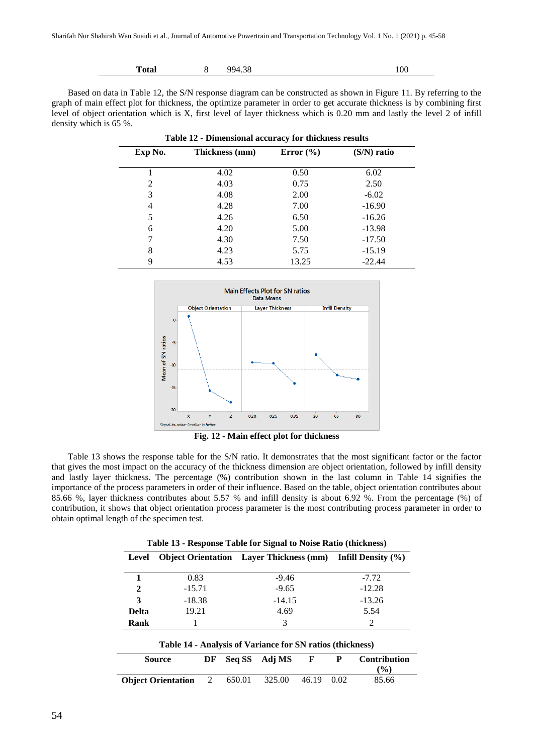| m<br>Total | $\overline{O}$<br>ററ⊿<br>0د. | 100 |  |
|------------|------------------------------|-----|--|
|            |                              |     |  |

Based on data in Table 12, the S/N response diagram can be constructed as shown in Figure 11. By referring to the graph of main effect plot for thickness, the optimize parameter in order to get accurate thickness is by combining first level of object orientation which is X, first level of layer thickness which is 0.20 mm and lastly the level 2 of infill density which is 65 %.

| Table 12 - Dimensional accuracy for thickness results |                |               |               |  |  |  |
|-------------------------------------------------------|----------------|---------------|---------------|--|--|--|
| Exp No.                                               | Thickness (mm) | Error $(\% )$ | $(S/N)$ ratio |  |  |  |
|                                                       | 4.02           | 0.50          | 6.02          |  |  |  |
| 2                                                     | 4.03           | 0.75          | 2.50          |  |  |  |
| 3                                                     | 4.08           | 2.00          | $-6.02$       |  |  |  |
| 4                                                     | 4.28           | 7.00          | $-16.90$      |  |  |  |
| 5                                                     | 4.26           | 6.50          | $-16.26$      |  |  |  |
| 6                                                     | 4.20           | 5.00          | $-13.98$      |  |  |  |
| 7                                                     | 4.30           | 7.50          | $-17.50$      |  |  |  |
| 8                                                     | 4.23           | 5.75          | $-15.19$      |  |  |  |
| 9                                                     | 4.53           | 13.25         | $-22.44$      |  |  |  |



**Fig. 12 - Main effect plot for thickness**

Table 13 shows the response table for the S/N ratio. It demonstrates that the most significant factor or the factor that gives the most impact on the accuracy of the thickness dimension are object orientation, followed by infill density and lastly layer thickness. The percentage (%) contribution shown in the last column in Table 14 signifies the importance of the process parameters in order of their influence. Based on the table, object orientation contributes about 85.66 %, layer thickness contributes about 5.57 % and infill density is about 6.92 %. From the percentage (%) of contribution, it shows that object orientation process parameter is the most contributing process parameter in order to obtain optimal length of the specimen test.

| Level        |          | <b>Object Orientation</b> Layer Thickness $(nm)$ Infill Density $(\%)$ |          |
|--------------|----------|------------------------------------------------------------------------|----------|
|              | 0.83     | $-9.46$                                                                | $-7.72$  |
| 2            | $-15.71$ | $-9.65$                                                                | $-12.28$ |
| 3            | $-18.38$ | $-14.15$                                                               | $-13.26$ |
| <b>Delta</b> | 19.21    | 4.69                                                                   | 5.54     |
| Rank         |          | 3                                                                      |          |

| Table 14 - Analysis of Variance for SN ratios (thickness) |  |
|-----------------------------------------------------------|--|
|                                                           |  |

| Source                    | DF |        | Seq SS Adj MS |       | P    | <b>Contribution</b> |
|---------------------------|----|--------|---------------|-------|------|---------------------|
|                           |    |        |               |       |      | $($ %)              |
| <b>Object Orientation</b> | 2  | 650.01 | 325.00        | 46.19 | 0.02 | 85.66               |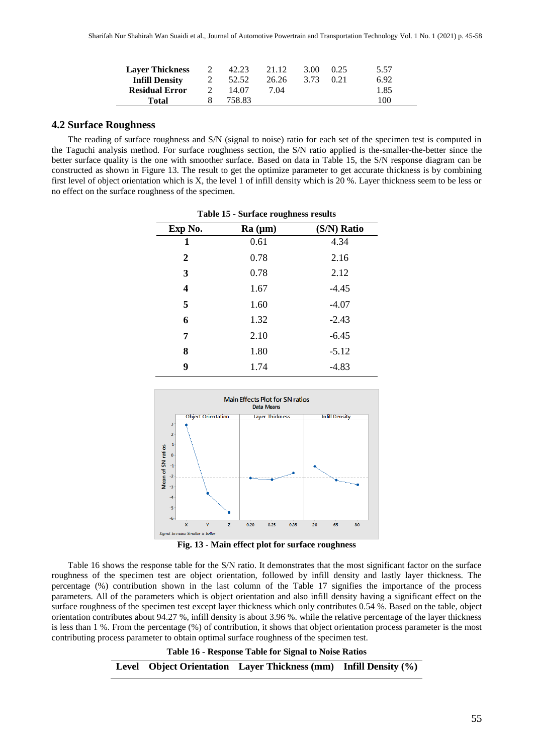| <b>Layer Thickness</b> | 42.23  | 21.12 | 3.00 | 0.25  | 5.57 |
|------------------------|--------|-------|------|-------|------|
| <b>Infill Density</b>  | 52.52  | 26.26 | 3.73 | (121) | 6.92 |
| <b>Residual Error</b>  | 14.07  | 7.04  |      |       | 1.85 |
| Total                  | 758.83 |       |      |       | 100  |

#### **4.2 Surface Roughness**

The reading of surface roughness and S/N (signal to noise) ratio for each set of the specimen test is computed in the Taguchi analysis method. For surface roughness section, the S/N ratio applied is the-smaller-the-better since the better surface quality is the one with smoother surface. Based on data in Table 15, the S/N response diagram can be constructed as shown in Figure 13. The result to get the optimize parameter to get accurate thickness is by combining first level of object orientation which is X, the level 1 of infill density which is 20 %. Layer thickness seem to be less or no effect on the surface roughness of the specimen.

| Exp No.          | Ra (µm) | (S/N) Ratio |
|------------------|---------|-------------|
| 1                | 0.61    | 4.34        |
| $\boldsymbol{2}$ | 0.78    | 2.16        |
| 3                | 0.78    | 2.12        |
| 4                | 1.67    | $-4.45$     |
| 5                | 1.60    | $-4.07$     |
| 6                | 1.32    | $-2.43$     |
| 7                | 2.10    | $-6.45$     |
| 8                | 1.80    | $-5.12$     |
| 9                | 1.74    | $-4.83$     |



Table 16 shows the response table for the S/N ratio. It demonstrates that the most significant factor on the surface roughness of the specimen test are object orientation, followed by infill density and lastly layer thickness. The percentage (%) contribution shown in the last column of the Table 17 signifies the importance of the process parameters. All of the parameters which is object orientation and also infill density having a significant effect on the surface roughness of the specimen test except layer thickness which only contributes 0.54 %. Based on the table, object orientation contributes about 94.27 %, infill density is about 3.96 %. while the relative percentage of the layer thickness is less than 1 %. From the percentage (%) of contribution, it shows that object orientation process parameter is the most contributing process parameter to obtain optimal surface roughness of the specimen test.

> **Table 16 - Response Table for Signal to Noise Ratios Level Object Orientation Layer Thickness (mm) Infill Density (%)**

**Table 15 - Surface roughness results**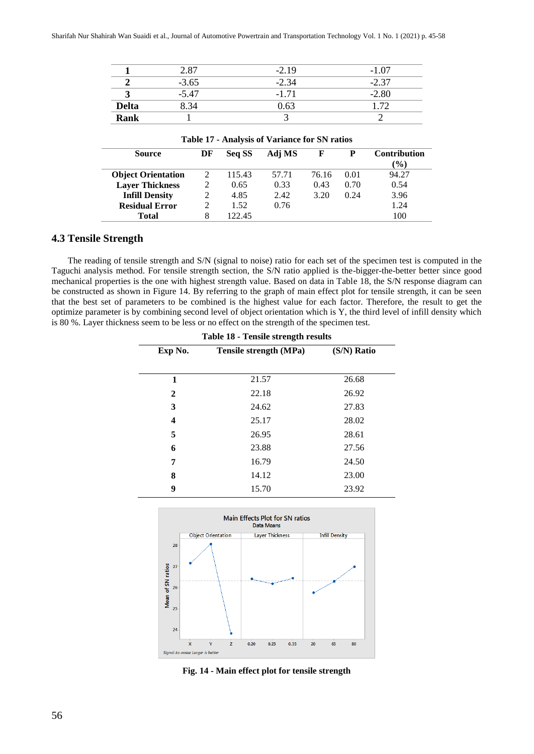|              | 2.87    | $-2.19$ | - 1         |
|--------------|---------|---------|-------------|
|              | $-3.65$ | 2.34    | - 37<br>- 1 |
|              | -5.47   | -1 71   | 2.80        |
| <b>Delta</b> | 3.34    | 0.63    |             |
| <b>Rank</b>  |         |         |             |

| <b>Table 17 - Analysis of Variance for SN ratios</b> |    |        |        |       |      |                     |
|------------------------------------------------------|----|--------|--------|-------|------|---------------------|
| <b>Source</b>                                        | DF | Seq SS | Adj MS | F     | P    | <b>Contribution</b> |
|                                                      |    |        |        |       |      | $\frac{9}{6}$       |
| <b>Object Orientation</b>                            |    | 115.43 | 57.71  | 76.16 | 0.01 | 94.27               |
| <b>Layer Thickness</b>                               |    | 0.65   | 0.33   | 0.43  | 0.70 | 0.54                |
| <b>Infill Density</b>                                |    | 4.85   | 2.42   | 3.20  | 0.24 | 3.96                |
| <b>Residual Error</b>                                |    | 1.52   | 0.76   |       |      | 1.24                |
| <b>Total</b>                                         | 8  | 122.45 |        |       |      | 100                 |

#### **4.3 Tensile Strength**

The reading of tensile strength and S/N (signal to noise) ratio for each set of the specimen test is computed in the Taguchi analysis method. For tensile strength section, the S/N ratio applied is the-bigger-the-better better since good mechanical properties is the one with highest strength value. Based on data in Table 18, the S/N response diagram can be constructed as shown in Figure 14. By referring to the graph of main effect plot for tensile strength, it can be seen that the best set of parameters to be combined is the highest value for each factor. Therefore, the result to get the optimize parameter is by combining second level of object orientation which is Y, the third level of infill density which is 80 %. Layer thickness seem to be less or no effect on the strength of the specimen test.

| Table 18 - Tensile strength results                     |       |       |  |  |  |  |  |
|---------------------------------------------------------|-------|-------|--|--|--|--|--|
| (S/N) Ratio<br>Exp No.<br><b>Tensile strength (MPa)</b> |       |       |  |  |  |  |  |
|                                                         |       |       |  |  |  |  |  |
| 1                                                       | 21.57 | 26.68 |  |  |  |  |  |
| 2                                                       | 22.18 | 26.92 |  |  |  |  |  |
| 3                                                       | 24.62 | 27.83 |  |  |  |  |  |
| 4                                                       | 25.17 | 28.02 |  |  |  |  |  |
| 5                                                       | 26.95 | 28.61 |  |  |  |  |  |
| 6                                                       | 23.88 | 27.56 |  |  |  |  |  |
| 7                                                       | 16.79 | 24.50 |  |  |  |  |  |
| 8                                                       | 14.12 | 23.00 |  |  |  |  |  |
| 9                                                       | 15.70 | 23.92 |  |  |  |  |  |



**Fig. 14 - Main effect plot for tensile strength**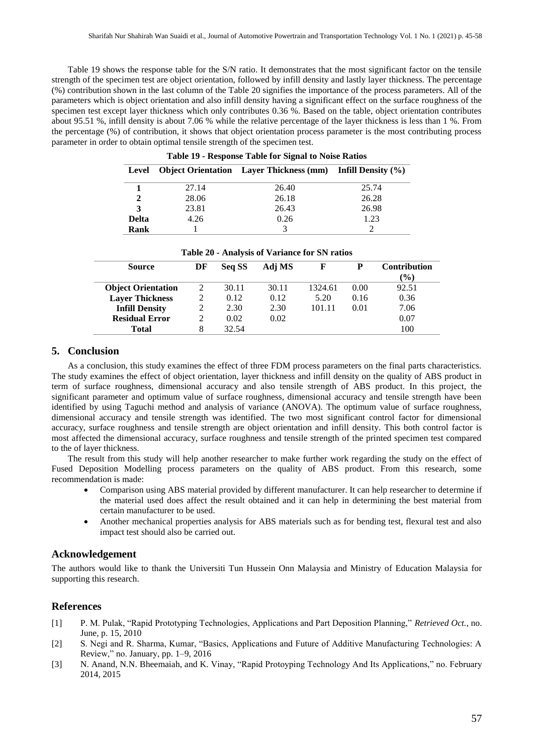Table 19 shows the response table for the S/N ratio. It demonstrates that the most significant factor on the tensile strength of the specimen test are object orientation, followed by infill density and lastly layer thickness. The percentage (%) contribution shown in the last column of the Table 20 signifies the importance of the process parameters. All of the parameters which is object orientation and also infill density having a significant effect on the surface roughness of the specimen test except layer thickness which only contributes 0.36 %. Based on the table, object orientation contributes about 95.51 %, infill density is about 7.06 % while the relative percentage of the layer thickness is less than 1 %. From the percentage (%) of contribution, it shows that object orientation process parameter is the most contributing process parameter in order to obtain optimal tensile strength of the specimen test.

| Okingt Outentation Louis Thiskness (mm) Lettl Densit |  |
|------------------------------------------------------|--|
| Table 19 - Response Table for Signal to Noise Ratios |  |

|              |       | Level Object Orientation Layer Thickness (mm) Infill Density (%) |       |
|--------------|-------|------------------------------------------------------------------|-------|
|              | 27.14 | 26.40                                                            | 25.74 |
|              | 28.06 | 26.18                                                            | 26.28 |
| 3            | 23.81 | 26.43                                                            | 26.98 |
| <b>Delta</b> | 4.26  | 0.26                                                             | 1.23  |
| Rank         |       |                                                                  |       |

| <b>Source</b>             | DF | Seq SS | Adj MS |         | Р    | <b>Contribution</b><br>$\frac{9}{0}$ |
|---------------------------|----|--------|--------|---------|------|--------------------------------------|
| <b>Object Orientation</b> |    | 30.11  | 30.11  | 1324.61 | 0.00 | 92.51                                |
| <b>Layer Thickness</b>    |    | 0.12   | 0.12   | 5.20    | 0.16 | 0.36                                 |
| <b>Infill Density</b>     |    | 2.30   | 2.30   | 101.11  | 0.01 | 7.06                                 |
| <b>Residual Error</b>     |    | 0.02   | 0.02   |         |      | 0.07                                 |
| <b>Total</b>              | 8  | 32.54  |        |         |      | 100                                  |

# **5. Conclusion**

As a conclusion, this study examines the effect of three FDM process parameters on the final parts characteristics. The study examines the effect of object orientation, layer thickness and infill density on the quality of ABS product in term of surface roughness, dimensional accuracy and also tensile strength of ABS product. In this project, the significant parameter and optimum value of surface roughness, dimensional accuracy and tensile strength have been identified by using Taguchi method and analysis of variance (ANOVA). The optimum value of surface roughness, dimensional accuracy and tensile strength was identified. The two most significant control factor for dimensional accuracy, surface roughness and tensile strength are object orientation and infill density. This both control factor is most affected the dimensional accuracy, surface roughness and tensile strength of the printed specimen test compared to the of layer thickness.

The result from this study will help another researcher to make further work regarding the study on the effect of Fused Deposition Modelling process parameters on the quality of ABS product. From this research, some recommendation is made:

- Comparison using ABS material provided by different manufacturer. It can help researcher to determine if the material used does affect the result obtained and it can help in determining the best material from certain manufacturer to be used.
- Another mechanical properties analysis for ABS materials such as for bending test, flexural test and also impact test should also be carried out.

# **Acknowledgement**

The authors would like to thank the Universiti Tun Hussein Onn Malaysia and Ministry of Education Malaysia for supporting this research.

# **References**

- [1] P. M. Pulak, "Rapid Prototyping Technologies, Applications and Part Deposition Planning," *Retrieved Oct.*, no. June, p. 15, 2010
- [2] S. Negi and R. Sharma, Kumar, "Basics, Applications and Future of Additive Manufacturing Technologies: A Review," no. January, pp. 1–9, 2016
- [3] N. Anand, N.N. Bheemaiah, and K. Vinay, "Rapid Protoyping Technology And Its Applications," no. February 2014, 2015